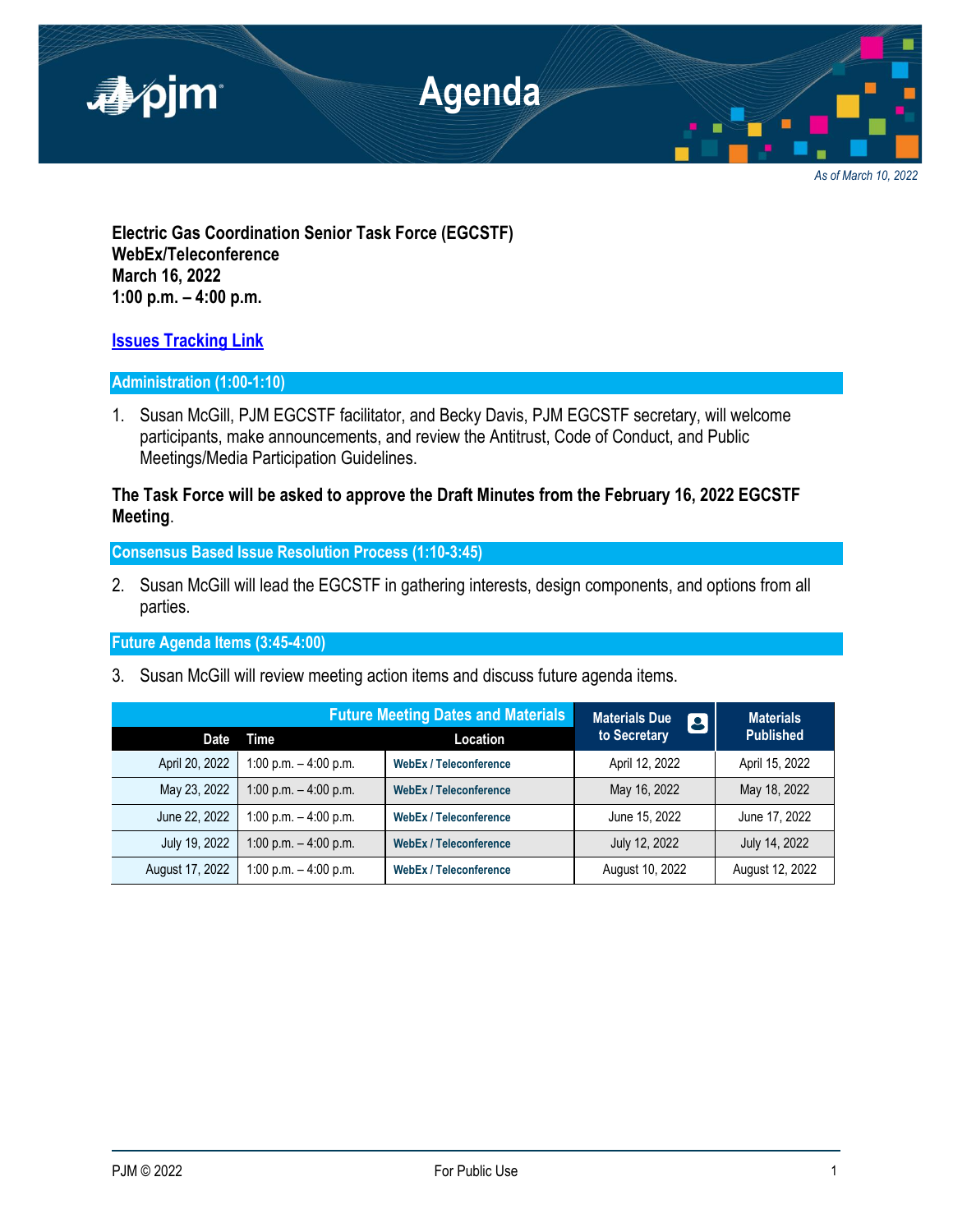

*As of March 10, 2022*

**Electric Gas Coordination Senior Task Force (EGCSTF) WebEx/Teleconference March 16, 2022 1:00 p.m. – 4:00 p.m.**

# **[Issues Tracking Link](https://www.pjm.com/committees-and-groups/issue-tracking/issue-tracking-details.aspx?Issue=e3c8385c-0638-4a1d-a5d2-8b1a2a87c295)**

### **Administration (1:00-1:10)**

1. Susan McGill, PJM EGCSTF facilitator, and Becky Davis, PJM EGCSTF secretary, will welcome participants, make announcements, and review the Antitrust, Code of Conduct, and Public Meetings/Media Participation Guidelines.

## **The Task Force will be asked to approve the Draft Minutes from the February 16, 2022 EGCSTF Meeting**.

**Consensus Based Issue Resolution Process (1:10-3:45)**

2. Susan McGill will lead the EGCSTF in gathering interests, design components, and options from all parties.

**Future Agenda Items (3:45-4:00)**

3. Susan McGill will review meeting action items and discuss future agenda items.

|                 | <b>Future Meeting Dates and Materials</b> |                               | <b>Materials Due</b><br>$\boldsymbol{\beta}$ | <b>Materials</b> |
|-----------------|-------------------------------------------|-------------------------------|----------------------------------------------|------------------|
| Date            | Time                                      | Location                      | to Secretary                                 | <b>Published</b> |
| April 20, 2022  | 1:00 p.m. $-$ 4:00 p.m.                   | <b>WebEx / Teleconference</b> | April 12, 2022                               | April 15, 2022   |
| May 23, 2022    | 1:00 p.m. $-$ 4:00 p.m.                   | <b>WebEx / Teleconference</b> | May 16, 2022                                 | May 18, 2022     |
| June 22, 2022   | 1:00 p.m. $-$ 4:00 p.m.                   | <b>WebEx / Teleconference</b> | June 15, 2022                                | June 17, 2022    |
| July 19, 2022   | 1:00 p.m. $-$ 4:00 p.m.                   | <b>WebEx / Teleconference</b> | July 12, 2022                                | July 14, 2022    |
| August 17, 2022 | 1:00 p.m. $-$ 4:00 p.m.                   | <b>WebEx / Teleconference</b> | August 10, 2022                              | August 12, 2022  |